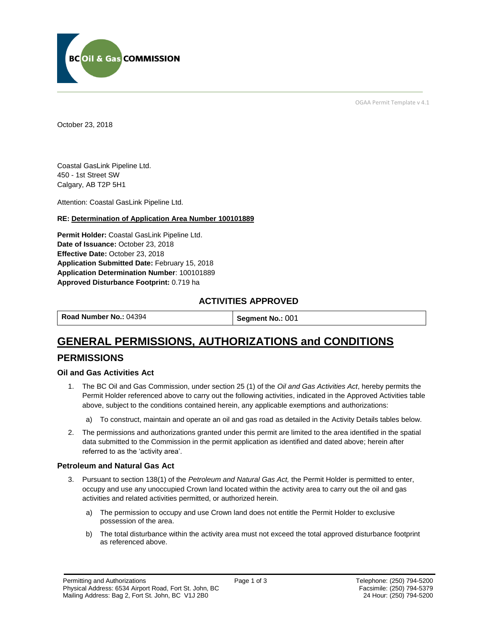

OGAA Permit Template v 4.1

October 23, 2018

Coastal GasLink Pipeline Ltd. 450 - 1st Street SW Calgary, AB T2P 5H1

Attention: Coastal GasLink Pipeline Ltd.

#### **RE: Determination of Application Area Number 100101889**

**Permit Holder:** Coastal GasLink Pipeline Ltd. Date of Issuance: October 23, 2018 **Effective Date:** October 23, 2018 **Application Submitted Date:** February 15, 2018 **Application Determination Number**: 100101889 **Approved Disturbance Footprint:** 0.719 ha

### **ACTIVITIES APPROVED**

**Road Number No.: 04394 Segment No.: 001** 

# **GENERAL PERMISSIONS, AUTHORIZATIONS and CONDITIONS**

### **PERMISSIONS**

#### **Oil and Gas Activities Act**

- 1. The BC Oil and Gas Commission, under section 25 (1) of the *Oil and Gas Activities Act*, hereby permits the Permit Holder referenced above to carry out the following activities, indicated in the Approved Activities table above, subject to the conditions contained herein, any applicable exemptions and authorizations:
	- a) To construct, maintain and operate an oil and gas road as detailed in the Activity Details tables below.
- 2. The permissions and authorizations granted under this permit are limited to the area identified in the spatial data submitted to the Commission in the permit application as identified and dated above; herein after referred to as the 'activity area'.

#### **Petroleum and Natural Gas Act**

- 3. Pursuant to section 138(1) of the *Petroleum and Natural Gas Act,* the Permit Holder is permitted to enter, occupy and use any unoccupied Crown land located within the activity area to carry out the oil and gas activities and related activities permitted, or authorized herein.
	- a) The permission to occupy and use Crown land does not entitle the Permit Holder to exclusive possession of the area.
	- b) The total disturbance within the activity area must not exceed the total approved disturbance footprint as referenced above.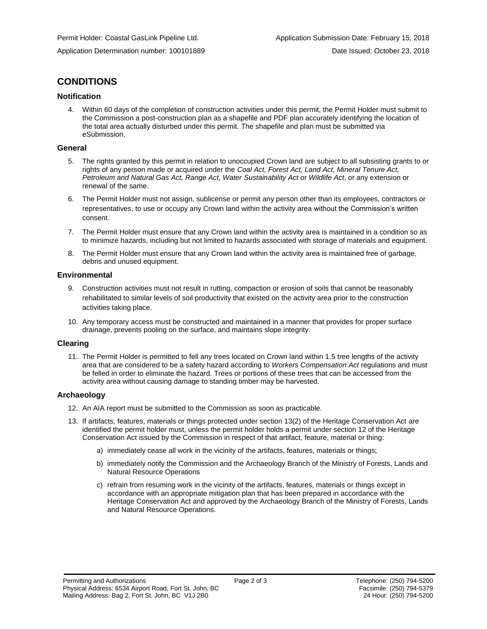# **CONDITIONS**

#### **Notification**

4. Within 60 days of the completion of construction activities under this permit, the Permit Holder must submit to the Commission a post-construction plan as a shapefile and PDF plan accurately identifying the location of the total area actually disturbed under this permit. The shapefile and plan must be submitted via eSubmission.

#### **General**

- 5. The rights granted by this permit in relation to unoccupied Crown land are subject to all subsisting grants to or rights of any person made or acquired under the *Coal Act, Forest Act, Land Act, Mineral Tenure Act, Petroleum and Natural Gas Act, Range Act, Water Sustainability Act* or *Wildlife Act*, or any extension or renewal of the same.
- 6. The Permit Holder must not assign, sublicense or permit any person other than its employees, contractors or representatives, to use or occupy any Crown land within the activity area without the Commission's written consent.
- 7. The Permit Holder must ensure that any Crown land within the activity area is maintained in a condition so as to minimize hazards, including but not limited to hazards associated with storage of materials and equipment.
- 8. The Permit Holder must ensure that any Crown land within the activity area is maintained free of garbage, debris and unused equipment.

#### **Environmental**

- 9. Construction activities must not result in rutting, compaction or erosion of soils that cannot be reasonably rehabilitated to similar levels of soil productivity that existed on the activity area prior to the construction activities taking place.
- 10. Any temporary access must be constructed and maintained in a manner that provides for proper surface drainage, prevents pooling on the surface, and maintains slope integrity.

#### **Clearing**

11. The Permit Holder is permitted to fell any trees located on Crown land within 1.5 tree lengths of the activity area that are considered to be a safety hazard according to *Workers Compensation Act* regulations and must be felled in order to eliminate the hazard. Trees or portions of these trees that can be accessed from the activity area without causing damage to standing timber may be harvested.

#### **Archaeology**

- 12. An AIA report must be submitted to the Commission as soon as practicable.
- 13. If artifacts, features, materials or things protected under section 13(2) of the Heritage Conservation Act are identified the permit holder must, unless the permit holder holds a permit under section 12 of the Heritage Conservation Act issued by the Commission in respect of that artifact, feature, material or thing:
	- a) immediately cease all work in the vicinity of the artifacts, features, materials or things;
	- b) immediately notify the Commission and the Archaeology Branch of the Ministry of Forests, Lands and Natural Resource Operations
	- c) refrain from resuming work in the vicinity of the artifacts, features, materials or things except in accordance with an appropriate mitigation plan that has been prepared in accordance with the Heritage Conservation Act and approved by the Archaeology Branch of the Ministry of Forests, Lands and Natural Resource Operations.